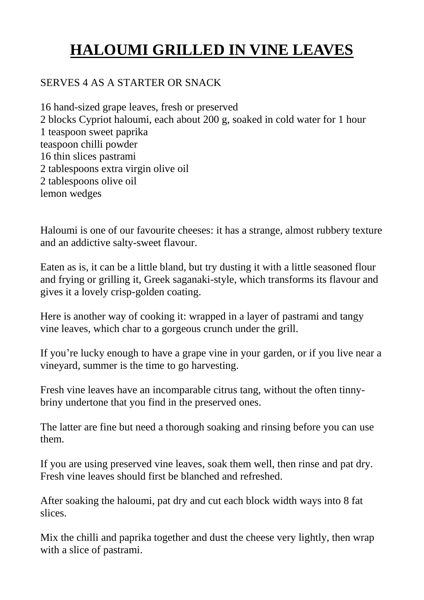## **HALOUMI GRILLED IN VINE LEAVES**

## SERVES 4 AS A STARTER OR SNACK

16 hand-sized grape leaves, fresh or preserved 2 blocks Cypriot haloumi, each about 200 g, soaked in cold water for 1 hour 1 teaspoon sweet paprika teaspoon chilli powder 16 thin slices pastrami 2 tablespoons extra virgin olive oil 2 tablespoons olive oil lemon wedges

Haloumi is one of our favourite cheeses: it has a strange, almost rubbery texture and an addictive salty-sweet flavour.

Eaten as is, it can be a little bland, but try dusting it with a little seasoned flour and frying or grilling it, Greek saganaki-style, which transforms its flavour and gives it a lovely crisp-golden coating.

Here is another way of cooking it: wrapped in a layer of pastrami and tangy vine leaves, which char to a gorgeous crunch under the grill.

If you're lucky enough to have a grape vine in your garden, or if you live near a vineyard, summer is the time to go harvesting.

Fresh vine leaves have an incomparable citrus tang, without the often tinnybriny undertone that you find in the preserved ones.

The latter are fine but need a thorough soaking and rinsing before you can use them.

If you are using preserved vine leaves, soak them well, then rinse and pat dry. Fresh vine leaves should first be blanched and refreshed.

After soaking the haloumi, pat dry and cut each block width ways into 8 fat slices.

Mix the chilli and paprika together and dust the cheese very lightly, then wrap with a slice of pastrami.